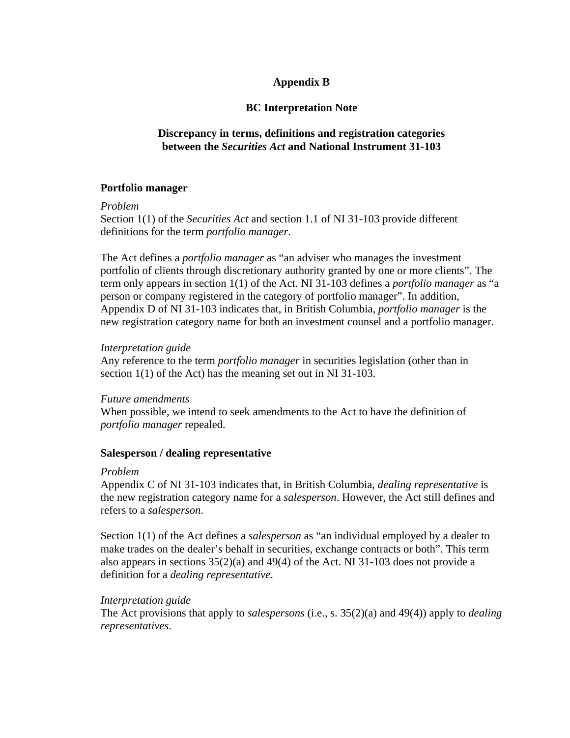# **Appendix B**

# **BC Interpretation Note**

# **Discrepancy in terms, definitions and registration categories between the** *Securities Act* **and National Instrument 31-103**

# **Portfolio manager**

#### *Problem*

Section 1(1) of the *Securities Act* and section 1.1 of NI 31-103 provide different definitions for the term *portfolio manager*.

The Act defines a *portfolio manager* as "an adviser who manages the investment portfolio of clients through discretionary authority granted by one or more clients". The term only appears in section 1(1) of the Act. NI 31-103 defines a *portfolio manager* as "a person or company registered in the category of portfolio manager". In addition, Appendix D of NI 31-103 indicates that, in British Columbia, *portfolio manager* is the new registration category name for both an investment counsel and a portfolio manager.

### *Interpretation guide*

Any reference to the term *portfolio manager* in securities legislation (other than in section 1(1) of the Act) has the meaning set out in NI 31-103.

#### *Future amendments*

When possible, we intend to seek amendments to the Act to have the definition of *portfolio manager* repealed.

# **Salesperson / dealing representative**

#### *Problem*

Appendix C of NI 31-103 indicates that, in British Columbia, *dealing representative* is the new registration category name for a *salesperson*. However, the Act still defines and refers to a *salesperson*.

Section 1(1) of the Act defines a *salesperson* as "an individual employed by a dealer to make trades on the dealer's behalf in securities, exchange contracts or both". This term also appears in sections 35(2)(a) and 49(4) of the Act. NI 31-103 does not provide a definition for a *dealing representative*.

# *Interpretation guide*

The Act provisions that apply to *salespersons* (i.e., s. 35(2)(a) and 49(4)) apply to *dealing representatives*.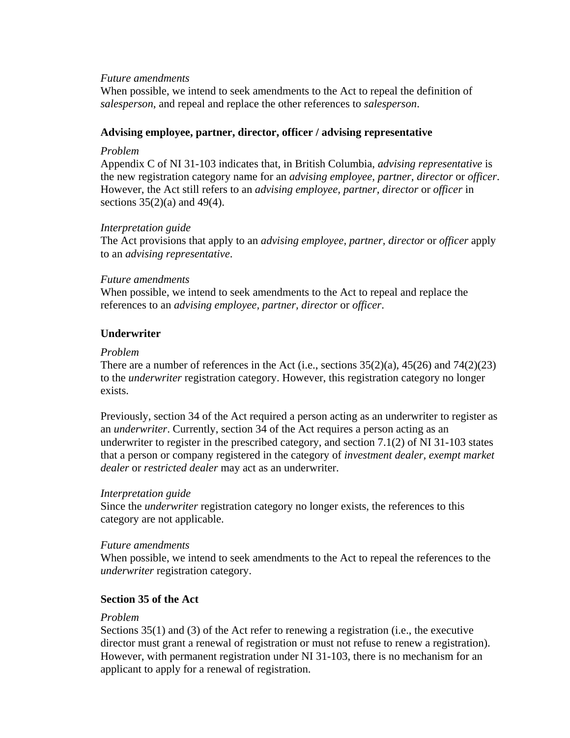### *Future amendments*

When possible, we intend to seek amendments to the Act to repeal the definition of *salesperson*, and repeal and replace the other references to *salesperson*.

### **Advising employee, partner, director, officer / advising representative**

### *Problem*

Appendix C of NI 31-103 indicates that, in British Columbia, *advising representative* is the new registration category name for an *advising employee, partner, director* or *officer*. However, the Act still refers to an *advising employee, partner, director* or *officer* in sections  $35(2)(a)$  and  $49(4)$ .

# *Interpretation guide*

The Act provisions that apply to an *advising employee, partner, director* or *officer* apply to an *advising representative*.

### *Future amendments*

When possible, we intend to seek amendments to the Act to repeal and replace the references to an *advising employee, partner, director* or *officer*.

# **Underwriter**

### *Problem*

There are a number of references in the Act (i.e., sections  $35(2)(a)$ ,  $45(26)$  and  $74(2)(23)$ to the *underwriter* registration category. However, this registration category no longer exists.

Previously, section 34 of the Act required a person acting as an underwriter to register as an *underwriter*. Currently, section 34 of the Act requires a person acting as an underwriter to register in the prescribed category, and section  $7.1(2)$  of NI 31-103 states that a person or company registered in the category of *investment dealer, exempt market dealer* or *restricted dealer* may act as an underwriter.

#### *Interpretation guide*

Since the *underwriter* registration category no longer exists, the references to this category are not applicable.

#### *Future amendments*

When possible, we intend to seek amendments to the Act to repeal the references to the *underwriter* registration category.

# **Section 35 of the Act**

# *Problem*

Sections 35(1) and (3) of the Act refer to renewing a registration (i.e., the executive director must grant a renewal of registration or must not refuse to renew a registration). However, with permanent registration under NI 31-103, there is no mechanism for an applicant to apply for a renewal of registration.